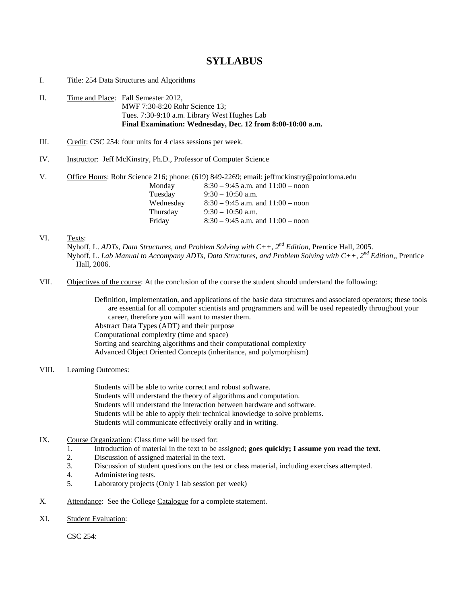# **SYLLABUS**

- I. Title: 254 Data Structures and Algorithms
- II. Time and Place: Fall Semester 2012, MWF 7:30-8:20 Rohr Science 13; Tues. 7:30-9:10 a.m. Library West Hughes Lab **Final Examination: Wednesday, Dec. 12 from 8:00-10:00 a.m.**
- III. Credit: CSC 254: four units for 4 class sessions per week.
- IV. Instructor: Jeff McKinstry, Ph.D., Professor of Computer Science
- V. Office Hours: Rohr Science 216; phone: (619) 849-2269; email: jeffmckinstry@pointloma.edu

| Monday    | $8:30 - 9:45$ a.m. and $11:00 -$ noon |
|-----------|---------------------------------------|
| Tuesday   | $9:30 - 10:50$ a.m.                   |
| Wednesday | $8:30 - 9:45$ a.m. and $11:00 -$ noon |
| Thursday  | $9:30-10:50$ a.m.                     |
| Friday    | $8:30 - 9:45$ a.m. and $11:00 -$ noon |

### VI. Texts:

- Nyhoff, L. *ADTs, Data Structures, and Problem Solving with C++, 2nd Edition*, Prentice Hall, 2005. Nyhoff, L. *Lab Manual to Accompany ADTs, Data Structures, and Problem Solving with C++, 2nd Edition*,, Prentice Hall, 2006.
- VII. Objectives of the course: At the conclusion of the course the student should understand the following:

Definition, implementation, and applications of the basic data structures and associated operators; these tools are essential for all computer scientists and programmers and will be used repeatedly throughout your career, therefore you will want to master them. Abstract Data Types (ADT) and their purpose Computational complexity (time and space) Sorting and searching algorithms and their computational complexity Advanced Object Oriented Concepts (inheritance, and polymorphism)

## VIII. Learning Outcomes:

Students will be able to write correct and robust software. Students will understand the theory of algorithms and computation. Students will understand the interaction between hardware and software. Students will be able to apply their technical knowledge to solve problems. Students will communicate effectively orally and in writing.

- IX. Course Organization: Class time will be used for:
	- 1. Introduction of material in the text to be assigned; **goes quickly; I assume you read the text.**
	- 2. Discussion of assigned material in the text.<br>3. Discussion of student questions on the test
	- 3. Discussion of student questions on the test or class material, including exercises attempted.
	- 4. Administering tests.
	- 5. Laboratory projects (Only 1 lab session per week)
- X. Attendance: See the College Catalogue for a complete statement.
- XI. Student Evaluation:

CSC 254: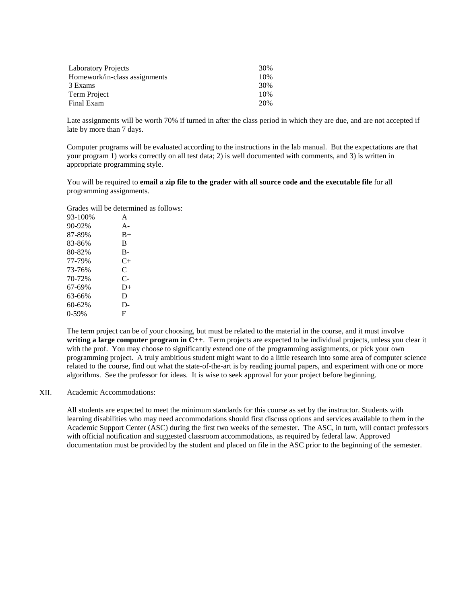| <b>Laboratory Projects</b>    | 30% |
|-------------------------------|-----|
| Homework/in-class assignments | 10% |
| 3 Exams                       | 30% |
| Term Project                  | 10% |
| Final Exam                    | 20% |

Late assignments will be worth 70% if turned in after the class period in which they are due, and are not accepted if late by more than 7 days.

Computer programs will be evaluated according to the instructions in the lab manual. But the expectations are that your program 1) works correctly on all test data; 2) is well documented with comments, and 3) is written in appropriate programming style.

You will be required to **email a zip file to the grader with all source code and the executable file** for all programming assignments.

Grades will be determined as follows:

| 93-100% | A     |
|---------|-------|
| 90-92%  | $A -$ |
| 87-89%  | $B+$  |
| 83-86%  | B     |
| 80-82%  | B-    |
| 77-79%  | $C+$  |
| 73-76%  | C     |
| 70-72%  | $C-$  |
| 67-69%  | $D+$  |
| 63-66%  | D     |
| 60-62%  | D-    |
| $0-59%$ | F     |

The term project can be of your choosing, but must be related to the material in the course, and it must involve **writing a large computer program in C++**. Term projects are expected to be individual projects, unless you clear it with the prof. You may choose to significantly extend one of the programming assignments, or pick your own programming project. A truly ambitious student might want to do a little research into some area of computer science related to the course, find out what the state-of-the-art is by reading journal papers, and experiment with one or more algorithms. See the professor for ideas. It is wise to seek approval for your project before beginning.

#### XII. Academic Accommodations:

All students are expected to meet the minimum standards for this course as set by the instructor. Students with learning disabilities who may need accommodations should first discuss options and services available to them in the Academic Support Center (ASC) during the first two weeks of the semester. The ASC, in turn, will contact professors with official notification and suggested classroom accommodations, as required by federal law. Approved documentation must be provided by the student and placed on file in the ASC prior to the beginning of the semester.